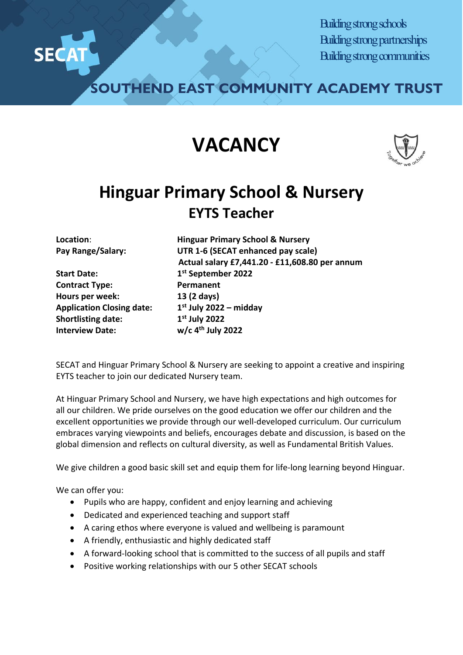

Building strong schools Building strong partnerships Building strong communities

**SOUTHEND EAST COMMUNITY ACADEMY TRUST**

## **VACANCY**



## **Hinguar Primary School & Nursery EYTS Teacher**

**Start Date: 1st September 2022 Contract Type: Permanent Hours per week: 13 (2 days) Application Closing date: 1st July 2022 – midday Shortlisting date:** 1st July 2022 **Interview Date: w/c 4th July 2022** 

**Location**: **Hinguar Primary School & Nursery Pay Range/Salary: UTR 1-6 (SECAT enhanced pay scale) Actual salary £7,441.20 - £11,608.80 per annum**

SECAT and Hinguar Primary School & Nursery are seeking to appoint a creative and inspiring EYTS teacher to join our dedicated Nursery team.

At Hinguar Primary School and Nursery, we have high expectations and high outcomes for all our children. We pride ourselves on the good education we offer our children and the excellent opportunities we provide through our well-developed curriculum. Our curriculum embraces varying viewpoints and beliefs, encourages debate and discussion, is based on the global dimension and reflects on cultural diversity, as well as Fundamental British Values.

We give children a good basic skill set and equip them for life-long learning beyond Hinguar.

We can offer you:

- Pupils who are happy, confident and enjoy learning and achieving
- Dedicated and experienced teaching and support staff
- A caring ethos where everyone is valued and wellbeing is paramount
- A friendly, enthusiastic and highly dedicated staff
- A forward-looking school that is committed to the success of all pupils and staff
- Positive working relationships with our 5 other SECAT schools